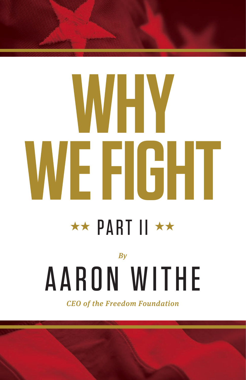# **WHY WE FIGHT**

### **★★ PART II ★★**

## *By* AARON WITHE

*CEO of the Freedom Foundation*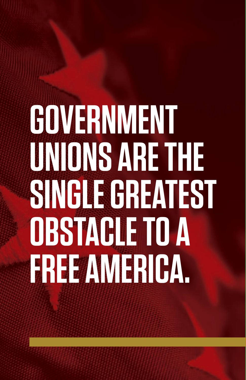# **GOVERNMENT UNIONS ARE THE SINGLE GREATEST OBSTACLE TO A FREE AMERICA.**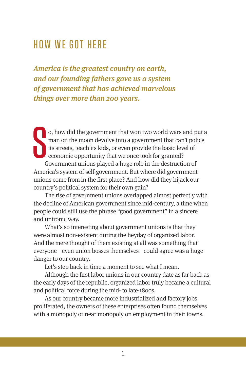#### HOW WE GOT HERE

*America is the greatest country on earth, and our founding fathers gave us a system of government that has achieved marvelous things over more than 200 years.* 

S o, how did the government that won two world wars and put a man on the moon devolve into a government that can't police its streets, teach its kids, or even provide the basic level of economic opportunity that we once took for granted?

Government unions played a huge role in the destruction of America's system of self-government. But where did government unions come from in the first place? And how did they hijack our country's political system for their own gain?

The rise of government unions overlapped almost perfectly with the decline of American government since mid-century, a time when people could still use the phrase "good government" in a sincere and unironic way.

What's so interesting about government unions is that they were almost non-existent during the heyday of organized labor. And the mere thought of them existing at all was something that everyone—even union bosses themselves—could agree was a huge danger to our country.

Let's step back in time a moment to see what I mean.

Although the first labor unions in our country date as far back as the early days of the republic, organized labor truly became a cultural and political force during the mid- to late-1800s.

As our country became more industrialized and factory jobs proliferated, the owners of these enterprises often found themselves with a monopoly or near monopoly on employment in their towns.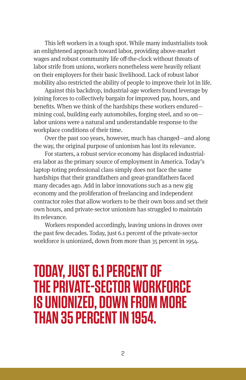This left workers in a tough spot. While many industrialists took an enlightened approach toward labor, providing above-market wages and robust community life off-the-clock without threats of labor strife from unions, workers nonetheless were heavily reliant on their employers for their basic livelihood. Lack of robust labor mobility also restricted the ability of people to improve their lot in life.

Against this backdrop, industrial-age workers found leverage by joining forces to collectively bargain for improved pay, hours, and benefits. When we think of the hardships these workers endured mining coal, building early automobiles, forging steel, and so on labor unions were a natural and understandable response to the workplace conditions of their time.

Over the past 100 years, however, much has changed—and along the way, the original purpose of unionism has lost its relevance.

For starters, a robust service economy has displaced industrialera labor as the primary source of employment in America. Today's laptop-toting professional class simply does not face the same hardships that their grandfathers and great-grandfathers faced many decades ago. Add in labor innovations such as a new gig economy and the proliferation of freelancing and independent contractor roles that allow workers to be their own boss and set their own hours, and private-sector unionism has struggled to maintain its relevance.

Workers responded accordingly, leaving unions in droves over the past few decades. Today, just 6.1 percent of the private-sector workforce is unionized, down from more than 35 percent in 1954.

#### **TODAY, JUST 6.1 PERCENT OF THE PRIVATE-SECTOR WORKFORCE IS UNIONIZED, DOWN FROM MORE THAN 35 PERCENT IN 1954.**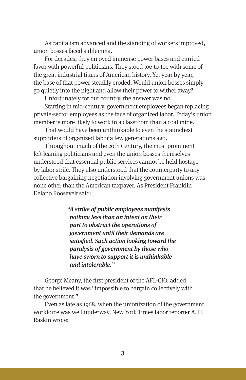As capitalism advanced and the standing of workers improved, union bosses faced a dilemma.

For decades, they enjoyed immense power bases and curried favor with powerful politicians. They stood toe-to-toe with some of the great industrial titans of American history. Yet year by year, the base of that power steadily eroded. Would union bosses simply go quietly into the night and allow their power to wither away?

Unfortunately for our country, the answer was no.

Starting in mid-century, government employees began replacing private-sector employees as the face of organized labor. Today's union member is more likely to work in a classroom than a coal mine.

That would have been unthinkable to even the staunchest supporters of organized labor a few generations ago.

Throughout much of the 20th Century, the most prominent left-leaning politicians and even the union bosses themselves understood that essential public services cannot be held hostage by labor strife. They also understood that the counterparty to any collective bargaining negotiation involving government unions was none other than the American taxpayer. As President Franklin Delano Roosevelt said:

> *"A strike of public employees manifests nothing less than an intent on their part to obstruct the operations of government until their demands are satisfied. Such action looking toward the paralysis of government by those who have sworn to support it is unthinkable and intolerable."*

George Meany, the first president of the AFL-CIO, added that he believed it was "impossible to bargain collectively with the government."

Even as late as 1968, when the unionization of the government workforce was well underway, New York Times labor reporter A. H. Raskin wrote: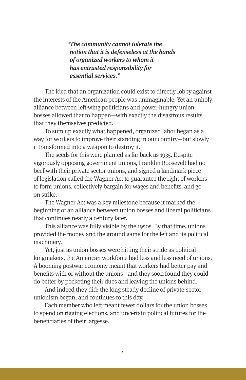*"The community cannot tolerate the notion that it is defenseless at the hands of organized workers to whom it has entrusted responsibility for essential services."*

The idea that an organization could exist to directly lobby against the interests of the American people was unimaginable. Yet an unholy alliance between left-wing politicians and power-hungry union bosses allowed that to happen—with exactly the disastrous results that they themselves predicted.

To sum up exactly what happened, organized labor began as a way for workers to improve their standing in our country—but slowly it transformed into a weapon to destroy it.

The seeds for this were planted as far back as 1935. Despite vigorously opposing government unions, Franklin Roosevelt had no beef with their private sector unions, and signed a landmark piece of legislation called the Wagner Act to guarantee the right of workers to form unions, collectively bargain for wages and benefits, and go on strike.

The Wagner Act was a key milestone because it marked the beginning of an alliance between union bosses and liberal politicians that continues nearly a century later.

This alliance was fully visible by the 1950s. By that time, unions provided the money and the ground game for the left and its political machinery.

Yet, just as union bosses were hitting their stride as political kingmakers, the American workforce had less and less need of unions. A booming postwar economy meant that workers had better pay and benefits with or without the unions—and they soon found they could do better by pocketing their dues and leaving the unions behind.

And indeed they did: the long steady decline of private-sector unionism began, and continues to this day.

Each member who left meant fewer dollars for the union bosses to spend on rigging elections, and uncertain political futures for the beneficiaries of their largesse.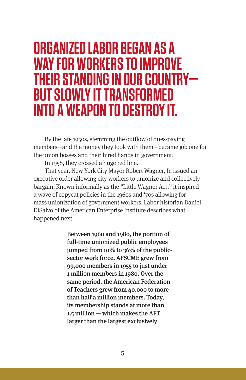#### **ORGANIZED LABOR BEGAN AS A WAY FOR WORKERS TO IMPROVE THEIR STANDING IN OUR COUNTRY— BUT SLOWLY IT TRANSFORMED INTO A WEAPON TO DESTROY IT.**

By the late 1950s, stemming the outflow of dues-paying members—and the money they took with them—became job one for the union bosses and their hired hands in government.

In 1958, they crossed a huge red line.

That year, New York City Mayor Robert Wagner, Jr. issued an executive order allowing city workers to unionize and collectively bargain. Known informally as the "Little Wagner Act," it inspired a wave of copycat policies in the 1960s and '70s allowing for mass unionization of government workers. Labor historian Daniel DiSalvo of the American Enterprise Institute describes what happened next:

> Between 1960 and 1980, the portion of full-time unionized public employees jumped from 10% to 36% of the publicsector work force. AFSCME grew from 99,000 members in 1955 to just under 1 million members in 1980. Over the same period, the American Federation of Teachers grew from 40,000 to more than half a million members. Today, its membership stands at more than 1.5 million — which makes the AFT larger than the largest exclusively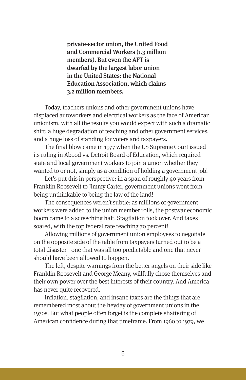private-sector union, the United Food and Commercial Workers (1.3 million members). But even the AFT is dwarfed by the largest labor union in the United States: the National Education Association, which claims 3.2 million members.

Today, teachers unions and other government unions have displaced autoworkers and electrical workers as the face of American unionism, with all the results you would expect with such a dramatic shift: a huge degradation of teaching and other government services, and a huge loss of standing for voters and taxpayers.

The final blow came in 1977 when the US Supreme Court issued its ruling in Abood vs. Detroit Board of Education, which required state and local government workers to join a union whether they wanted to or not, simply as a condition of holding a government job!

Let's put this in perspective: in a span of roughly 40 years from Franklin Roosevelt to Jimmy Carter, government unions went from being unthinkable to being the law of the land!

The consequences weren't subtle: as millions of government workers were added to the union member rolls, the postwar economic boom came to a screeching halt. Stagflation took over. And taxes soared, with the top federal rate reaching 70 percent!

Allowing millions of government union employees to negotiate on the opposite side of the table from taxpayers turned out to be a total disaster—one that was all too predictable and one that never should have been allowed to happen.

The left, despite warnings from the better angels on their side like Franklin Roosevelt and George Meany, willfully chose themselves and their own power over the best interests of their country. And America has never quite recovered.

Inflation, stagflation, and insane taxes are the things that are remembered most about the heyday of government unions in the 1970s. But what people often forget is the complete shattering of American confidence during that timeframe. From 1960 to 1979, we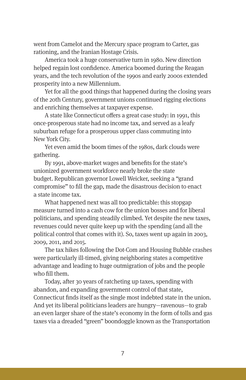went from Camelot and the Mercury space program to Carter, gas rationing, and the Iranian Hostage Crisis.

America took a huge conservative turn in 1980. New direction helped regain lost confidence. America boomed during the Reagan years, and the tech revolution of the 1990s and early 2000s extended prosperity into a new Millennium.

Yet for all the good things that happened during the closing years of the 20th Century, government unions continued rigging elections and enriching themselves at taxpayer expense.

A state like Connecticut offers a great case study: in 1991, this once-prosperous state had no income tax, and served as a leafy suburban refuge for a prosperous upper class commuting into New York City.

Yet even amid the boom times of the 1980s, dark clouds were gathering.

By 1991, above-market wages and benefits for the state's unionized government workforce nearly broke the state budget. Republican governor Lowell Weicker, seeking a "grand compromise" to fill the gap, made the disastrous decision to enact a state income tax.

What happened next was all too predictable: this stopgap measure turned into a cash cow for the union bosses and for liberal politicians, and spending steadily climbed. Yet despite the new taxes, revenues could never quite keep up with the spending (and all the political control that comes with it). So, taxes went up again in 2003, 2009, 2011, and 2015.

The tax hikes following the Dot-Com and Housing Bubble crashes were particularly ill-timed, giving neighboring states a competitive advantage and leading to huge outmigration of jobs and the people who fill them.

Today, after 30 years of ratcheting up taxes, spending with abandon, and expanding government control of that state, Connecticut finds itself as the single most indebted state in the union. And yet its liberal politicians leaders are hungry—ravenous—to grab an even larger share of the state's economy in the form of tolls and gas taxes via a dreaded "green" boondoggle known as the Transportation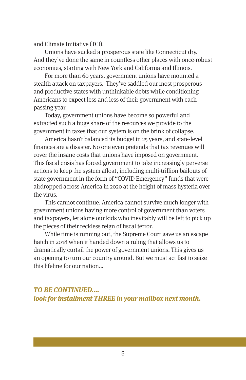and Climate Initiative (TCI).

Unions have sucked a prosperous state like Connecticut dry. And they've done the same in countless other places with once-robust economies, starting with New York and California and Illinois.

For more than 60 years, government unions have mounted a stealth attack on taxpayers. They've saddled our most prosperous and productive states with unthinkable debts while conditioning Americans to expect less and less of their government with each passing year.

Today, government unions have become so powerful and extracted such a huge share of the resources we provide to the government in taxes that our system is on the brink of collapse.

America hasn't balanced its budget in 25 years, and state-level finances are a disaster. No one even pretends that tax revenues will cover the insane costs that unions have imposed on government. This fiscal crisis has forced government to take increasingly perverse actions to keep the system afloat, including multi-trillion bailouts of state government in the form of "COVID Emergency" funds that were airdropped across America in 2020 at the height of mass hysteria over the virus.

This cannot continue. America cannot survive much longer with government unions having more control of government than voters and taxpayers, let alone our kids who inevitably will be left to pick up the pieces of their reckless reign of fiscal terror.

While time is running out, the Supreme Court gave us an escape hatch in 2018 when it handed down a ruling that allows us to dramatically curtail the power of government unions. This gives us an opening to turn our country around. But we must act fast to seize this lifeline for our nation…

#### *TO BE CONTINUED…. look for installment THREE in your mailbox next month.*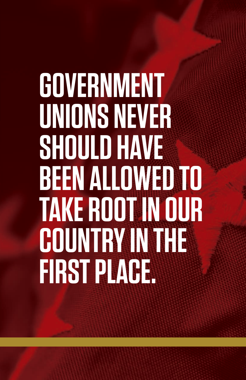## **GOVERNMENT UNIONS NEVER SHOULD HAVE BEEN ALLOWED TO TAKE ROOT IN OUR COUNTRY IN THE FIRST PLACE.**